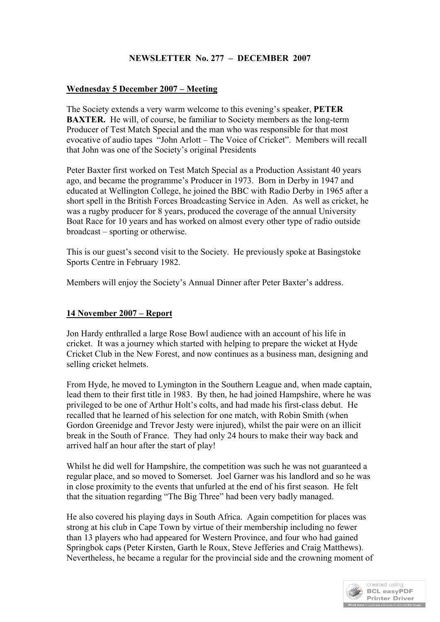## **NEWSLETTER No. 277 – DECEMBER 2007**

## **Wednesday 5 December 2007 – Meeting**

The Society extends a very warm welcome to this evening's speaker, **PETER BAXTER.** He will, of course, be familiar to Society members as the long-term Producer of Test Match Special and the man who was responsible for that most evocative of audio tapes "John Arlott – The Voice of Cricket". Members will recall that John was one of the Society's original Presidents

Peter Baxter first worked on Test Match Special as a Production Assistant 40 years ago, and became the programme's Producer in 1973. Born in Derby in 1947 and educated at Wellington College, he joined the BBC with Radio Derby in 1965 after a short spell in the British Forces Broadcasting Service in Aden. As well as cricket, he was a rugby producer for 8 years, produced the coverage of the annual University Boat Race for 10 years and has worked on almost every other type of radio outside broadcast – sporting or otherwise.

This is our guest's second visit to the Society. He previously spoke at Basingstoke Sports Centre in February 1982.

Members will enjoy the Society's Annual Dinner after Peter Baxter's address.

## **14 November 2007 – Report**

Jon Hardy enthralled a large Rose Bowl audience with an account of his life in cricket. It was a journey which started with helping to prepare the wicket at Hyde Cricket Club in the New Forest, and now continues as a business man, designing and selling cricket helmets.

From Hyde, he moved to Lymington in the Southern League and, when made captain, lead them to their first title in 1983. By then, he had joined Hampshire, where he was privileged to be one of Arthur Holt's colts, and had made his first-class debut. He recalled that he learned of his selection for one match, with Robin Smith (when Gordon Greenidge and Trevor Jesty were injured), whilst the pair were on an illicit break in the South of France. They had only 24 hours to make their way back and arrived half an hour after the start of play!

Whilst he did well for Hampshire, the competition was such he was not guaranteed a regular place, and so moved to Somerset. Joel Garner was his landlord and so he was in close proximity to the events that unfurled at the end of his first season. He felt that the situation regarding "The Big Three" had been very badly managed.

He also covered his playing days in South Africa. Again competition for places was strong at his club in Cape Town by virtue of their membership including no fewer than 13 players who had appeared for Western Province, and four who had gained Springbok caps (Peter Kirsten, Garth le Roux, Steve Jefferies and Craig Matthews). Nevertheless, he became a regular for the provincial side and the crowning moment of

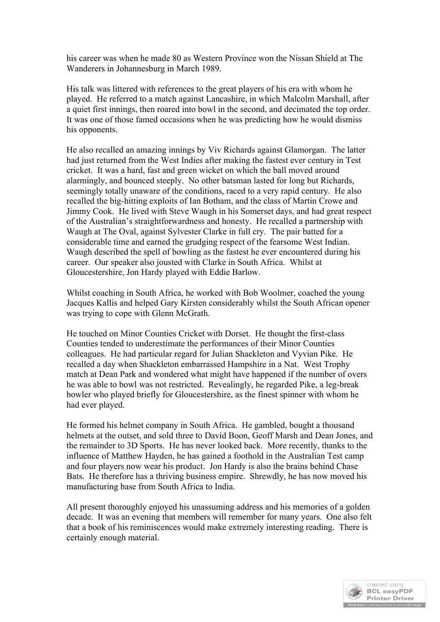his career was when he made 80 as Western Province won the Nissan Shield at The Wanderers in Johannesburg in March 1989.

His talk was littered with references to the great players of his era with whom he played. He referred to a match against Lancashire, in which Malcolm Marshall, after a quiet first innings, then roared into bowl in the second, and decimated the top order. It was one of those famed occasions when he was predicting how he would dismiss his opponents.

He also recalled an amazing innings by Viv Richards against Glamorgan. The latter had just returned from the West Indies after making the fastest ever century in Test cricket. It was a hard, fast and green wicket on which the ball moved around alarmingly, and bounced steeply. No other batsman lasted for long but Richards, seemingly totally unaware of the conditions, raced to a very rapid century. He also recalled the big-hitting exploits of Ian Botham, and the class of Martin Crowe and Jimmy Cook. He lived with Steve Waugh in his Somerset days, and had great respect of the Australian's straightforwardness and honesty. He recalled a partnership with Waugh at The Oval, against Sylvester Clarke in full cry. The pair batted for a considerable time and earned the grudging respect of the fearsome West Indian. Waugh described the spell of bowling as the fastest he ever encountered during his career. Our speaker also jousted with Clarke in South Africa. Whilst at Gloucestershire, Jon Hardy played with Eddie Barlow.

Whilst coaching in South Africa, he worked with Bob Woolmer, coached the young Jacques Kallis and helped Gary Kirsten considerably whilst the South African opener was trying to cope with Glenn McGrath.

He touched on Minor Counties Cricket with Dorset. He thought the first-class Counties tended to underestimate the performances of their Minor Counties colleagues. He had particular regard for Julian Shackleton and Vyvian Pike. He recalled a day when Shackleton embarrassed Hampshire in a Nat. West Trophy match at Dean Park and wondered what might have happened if the number of overs he was able to bowl was not restricted. Revealingly, he regarded Pike, a leg-break bowler who played briefly for Gloucestershire, as the finest spinner with whom he had ever played.

He formed his helmet company in South Africa. He gambled, bought a thousand helmets at the outset, and sold three to David Boon, Geoff Marsh and Dean Jones, and the remainder to 3D Sports. He has never looked back. More recently, thanks to the influence of Matthew Hayden, he has gained a foothold in the Australian Test camp and four players now wear his product. Jon Hardy is also the brains behind Chase Bats. He therefore has a thriving business empire. Shrewdly, he has now moved his manufacturing base from South Africa to India.

All present thoroughly enjoyed his unassuming address and his memories of a golden decade. It was an evening that members will remember for many years. One also felt that a book of his reminiscences would make extremely interesting reading. There is certainly enough material.

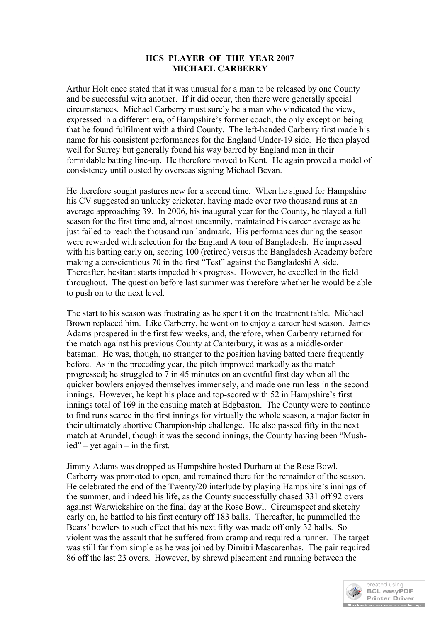## **HCS PLAYER OF THE YEAR 2007 MICHAEL CARBERRY**

Arthur Holt once stated that it was unusual for a man to be released by one County and be successful with another. If it did occur, then there were generally special circumstances. Michael Carberry must surely be a man who vindicated the view, expressed in a different era, of Hampshire's former coach, the only exception being that he found fulfilment with a third County. The left-handed Carberry first made his name for his consistent performances for the England Under-19 side. He then played well for Surrey but generally found his way barred by England men in their formidable batting line-up. He therefore moved to Kent. He again proved a model of consistency until ousted by overseas signing Michael Bevan.

He therefore sought pastures new for a second time. When he signed for Hampshire his CV suggested an unlucky cricketer, having made over two thousand runs at an average approaching 39. In 2006, his inaugural year for the County, he played a full season for the first time and, almost uncannily, maintained his career average as he just failed to reach the thousand run landmark. His performances during the season were rewarded with selection for the England A tour of Bangladesh. He impressed with his batting early on, scoring 100 (retired) versus the Bangladesh Academy before making a conscientious 70 in the first "Test" against the Bangladeshi A side. Thereafter, hesitant starts impeded his progress. However, he excelled in the field throughout. The question before last summer was therefore whether he would be able to push on to the next level.

The start to his season was frustrating as he spent it on the treatment table. Michael Brown replaced him. Like Carberry, he went on to enjoy a career best season. James Adams prospered in the first few weeks, and, therefore, when Carberry returned for the match against his previous County at Canterbury, it was as a middle-order batsman. He was, though, no stranger to the position having batted there frequently before. As in the preceding year, the pitch improved markedly as the match progressed; he struggled to 7 in 45 minutes on an eventful first day when all the quicker bowlers enjoyed themselves immensely, and made one run less in the second innings. However, he kept his place and top-scored with 52 in Hampshire's first innings total of 169 in the ensuing match at Edgbaston. The County were to continue to find runs scarce in the first innings for virtually the whole season, a major factor in their ultimately abortive Championship challenge. He also passed fifty in the next match at Arundel, though it was the second innings, the County having been "Mushied" – yet again – in the first.

Jimmy Adams was dropped as Hampshire hosted Durham at the Rose Bowl. Carberry was promoted to open, and remained there for the remainder of the season. He celebrated the end of the Twenty/20 interlude by playing Hampshire's innings of the summer, and indeed his life, as the County successfully chased 331 off 92 overs against Warwickshire on the final day at the Rose Bowl. Circumspect and sketchy early on, he battled to his first century off 183 balls. Thereafter, he pummelled the Bears' bowlers to such effect that his next fifty was made off only 32 balls. So violent was the assault that he suffered from cramp and required a runner. The target was still far from simple as he was joined by Dimitri Mascarenhas. The pair required 86 off the last 23 overs. However, by shrewd placement and running between the